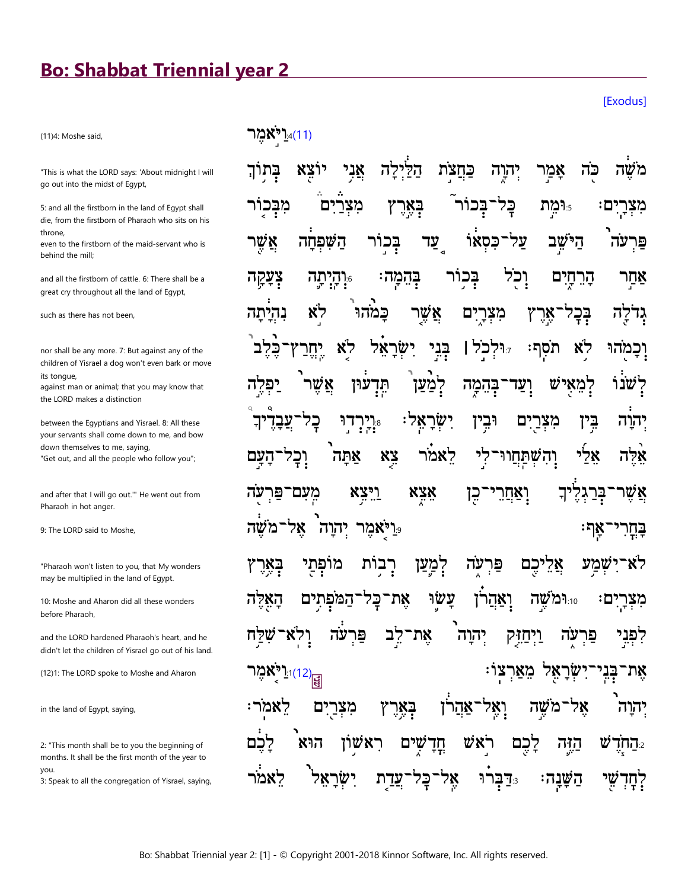## **Bo: Shabbat Triennial year 2**

(11)4: Moshe said,

"This is what the LORD says: 'About midnight I will go out into the midst of Egypt,

5: and all the firstborn in the land of Egypt shall die, from the firstborn of Pharaoh who sits on his throne

even to the firstborn of the maid-servant who is behind the mill;

and all the firstborn of cattle. 6: There shall be a great cry throughout all the land of Egypt,

such as there has not been.

nor shall be any more. 7: But against any of the children of Yisrael a dog won't even bark or move its tongue.

against man or animal; that you may know that the LORD makes a distinction

between the Egyptians and Yisrael. 8: All these your servants shall come down to me, and bow down themselves to me, saying, "Get out, and all the people who follow you";

and after that I will go out." He went out from Pharaoh in hot anger.

9: The LORD said to Moshe,

"Pharaoh won't listen to you, that My wonders may be multiplied in the land of Egypt.

10: Moshe and Aharon did all these wonders before Pharaoh.

and the LORD hardened Pharaoh's heart, and he didn't let the children of Yisrael go out of his land.

(12)1: The LORD spoke to Moshe and Aharon

in the land of Egypt, saying,

2: "This month shall be to you the beginning of months. It shall be the first month of the year to vou.

3: Speak to all the congregation of Yisrael, saying,

<u>ו</u>יאמר)<u>.</u>4(11)

ילה `ኛኔ כחצת הק יהוה אמר פה בכוו מבכור הימת ם מצו ַבאַר כַּל ם: מצרי עַד כסאו על־ הישב השפחה בכור אשר פר וִכֹל בָּהֵמֲה הָרֵחַיִם צְעָקָה בכור **ּּיִיהֲיִתְה** אחר לא כמהו אַשֵׁר בָּכָ ים מצו אַר נהיתה לה י**ּוּ**לְכֹל | יֶחֶר אל: יִשָׂרַ בְּנִי וִכַמהוּ לא לא ⊊? תסף: לִמַעַן למאי 'שנו אשו W עוּן בהמה תד ועד רי.<br>הי :אל ישו וּבין ים מצר בין כַל דו יהוה לִי **XY** לאמר אלי אתה והשתחור אלה מעם־פּר <u>ויצא</u> X3X ואחרי יך בּרַ עה ⊆ן אשר רמ' ר**יאמר יהוה**9 שה אל ፡ባእ ײַחַר רבות מופתי לִמַעַן אֵלֵיכֵם ישמע לא עה פר עשו מצרים: את<sup>.</sup> המפתים 10:**וֹמ שה** יה הא כל ואהו קפני עה פו לֵב את` יהוה ויחוק פו עה ן י<sup>וֹ</sup>אמֵר<mark>: "</mark> **ַבְנִי** מארצו: את לאמר: באר אהרן 78 מצרים שה מ יהוה ואל ראשוו ראש ש הוא שים תְּדָ לכם הזה י**החד** ישר שי כל אל דַברוּ השנה: עדת לחד

**[Exodus]**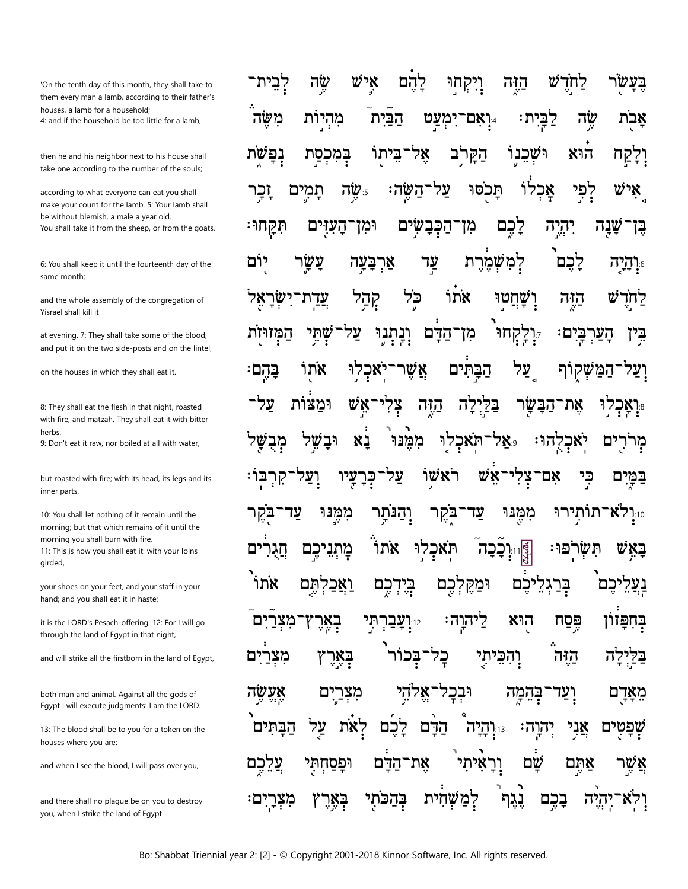'On the tenth day of this month, they shall take to them every man a lamb, according to their father's houses, a lamb for a household; 4: and if the household be too little for a lamb,

then he and his neighbor next to his house shall take one according to the number of the souls;

according to what everyone can eat you shall make your count for the lamb. 5: Your lamb shall be without blemish, a male a year old. You shall take it from the sheep, or from the goats.

6: You shall keep it until the fourteenth day of the same month:

and the whole assembly of the congregation of Yisrael shall kill it

at evening. 7: They shall take some of the blood, and put it on the two side-posts and on the lintel,

on the houses in which they shall eat it.

8: They shall eat the flesh in that night, roasted with fire, and matzah. They shall eat it with bitter herbs.

9: Don't eat it raw, nor boiled at all with water.

but roasted with fire; with its head, its legs and its inner parts.

10: You shall let nothing of it remain until the morning; but that which remains of it until the morning you shall burn with fire. 11: This is how you shall eat it: with your loins girded,

your shoes on your feet, and your staff in your hand; and you shall eat it in haste:

it is the LORD's Pesach-offering. 12: For I will go through the land of Egypt in that night,

and will strike all the firstborn in the land of Egypt,

both man and animal. Against all the gods of Eqypt I will execute judgments: I am the LORD.

13: The blood shall be to you for a token on the houses where you are:

and when I see the blood, I will pass over you,

and there shall no plague be on you to destroy you, when I strike the land of Egypt.

שֶׂה איש <u>קהם</u> קחו דבית<sup>.</sup> הזה לחד מהיות שֶׁה משה הבית ימעט לבית: ןאָם־ אבת הַקַּרֹב נפשת ביתו וּשׁכנו הוא וַיַקַח 78 במכסת איש לוֹ לִפִּי תמים 5: שה השה: על תכסו אַכ זכר לִכֶם העזים ־הַכְּבָשִׂים יהיה מז תִּקַחוּ⊹ ומן שַנַה ⊑⊺ למשמרת יום עשר עַד לכם ארבעה ר**היה** אתו כל וַשַּׁחֲטוּ קְהַל עדת הזה ש לחד יִוְלָקָחוּ וְנְתְנְוּ ־הַדָּם שתי עד בים: המזויות מן' הער בין אתו יאכלו אשׁו הבתים עַל בהם: קוף על־ ומצות WĶ הבשר הזה 77 72 את־ וּבשׁל תאכלו לא ממנו מבשל נא 7X9 בקהוּ D מרר עיו על ראשו WΧ צלי כר אם־ כי בו: ם במי מִמֵּנוּ עד תותירו ֿ עז והנתר בקר מִמֵּנוּ 'X7 בקר  $7.10$ ּוֹיִי**ׇ֑֖֫**׀׆֥֖׀ׇׇׇ֖֖֜֜֜֩֩֩֩׀ׇׇ֑֖֓֓֓<br>׆׀ׇ אתו תאכלו :פו יכם תשר ิซ מַתְנֵ אחר בִּרַגִלֵיכֵם תם ַיַאַכ כם בִּידִ וּמַקֵּלְכֶם ּלֵיהוַה׃ בחפזוז בְאֵרָ תי הוא פסח מצר  $1:12$ וְהִכֵּיתי מצרים בְאֵרִץ ı כל הזה אֶעֱשֶׂה מִצְרַיִם וּבִכָּל־אֱלֹהֵי מִאַדַם בָּהֶמַה לאת <sup>13</sup>.נְהַיָה אַני הבתים על לכם הדם ּהַרַה: ים שפט **יְרָאִיתִי** שם אתם את־הדם עַלֵכֵם ופסחתי שו באר מִצְרָיִם בהכתי למשחית יהיה נגף בכם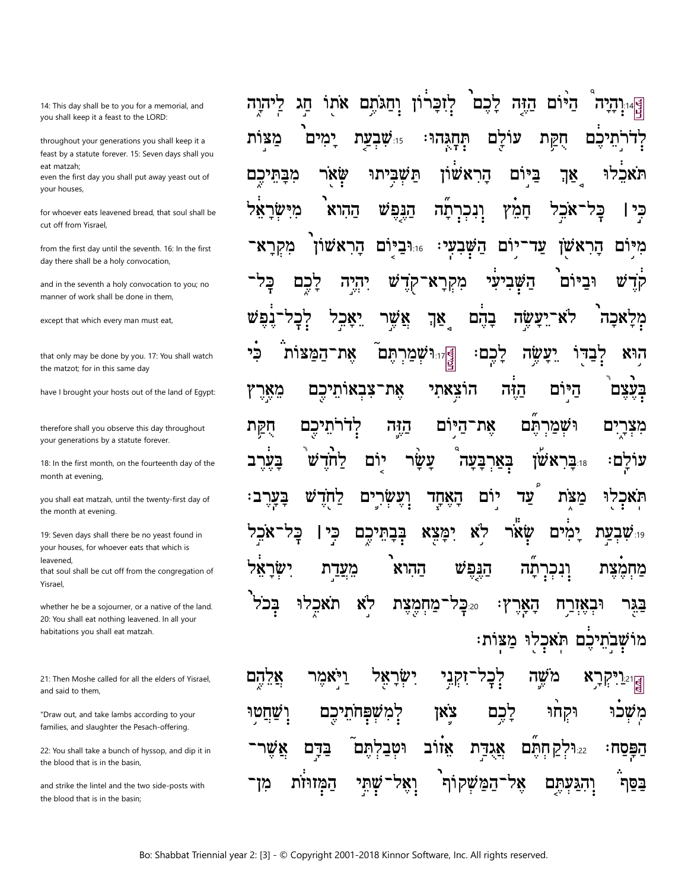14: This day shall be to you for a memorial, and you shall keep it a feast to the LORD:

throughout your generations you shall keep it a feast by a statute forever. 15: Seven days shall you eat matzah;

even the first day you shall put away yeast out of your houses,

for whoever eats leavened bread, that soul shall be cut off from Yisrael.

from the first day until the seventh. 16: In the first day there shall be a holy convocation,

and in the seventh a holy convocation to you; no manner of work shall be done in them,

except that which every man must eat,

that only may be done by you. 17: You shall watch the matzot; for in this same day

have I brought your hosts out of the land of Egypt:

therefore shall you observe this day throughout your generations by a statute forever.

18: In the first month, on the fourteenth day of the month at evening,

you shall eat matzah, until the twenty-first day of the month at evening.

19: Seven days shall there be no yeast found in your houses, for whoever eats that which is leavened that soul shall be cut off from the congregation of Yisrael

whether he be a sojourner, or a native of the land. 20: You shall eat nothing leavened. In all your habitations you shall eat matzah.

21: Then Moshe called for all the elders of Yisrael, and said to them,

"Draw out, and take lambs according to your families, and slaughter the Pesach-offering.

22: You shall take a bunch of hyssop, and dip it in the blood that is in the basin.

and strike the lintel and the two side-posts with the blood that is in the basin:

הַיּוֹם הַזֶּה לָכֶם לְזִכְרוֹן וְחַגֹּתֶם אֹתוֹ הַג ליהוה ימים 15:שבעת עוֹלַם תְּהָגְהוּ חִקַת זדרתיכם מצות תשביתו ביום תאכלו הראשׁון שאר מִבָּתֵיכֵם אַךְ מישראל ההוא הַנִּפְשׁ חמץ אכל בֵּל־ כי ו ונכרתה הראשׁוו 1.16 השבעי: יום עד מיום מקראי הראשו מִקְרָא־קְדֵ יִהיָה W השביעי וכיום כל לכם קד יַאַבֵל לא־יַעַשֵׂה אַשֵׁר אַךְ בַהִם מלאכה לַכַ <sub>ַ</sub> זוּוּ **שְׁמַרְתֶּם** לְכֶם: כי את־המצות שה דבדו היא את־צבאותֵיכֵם הוצאתי הזה היום מִאָרִץ בעצם הַזָּה את־היּוֹם לדרתיכם ושמרתם חקת ים מצר עשר וּבַראַשׂוֹ יום בְּאַרְבָּעָה בעו ิซ לחד עולם: וְעֵשׂרים הָאָחָד יום מצת תאכלו υ לחד עד ימַצָא בִּבְתֵּיכֶם פי | לא שׂאר ימים כל ינ**שבעת?** ישראַק ההוא הנפש מעדת ונכר מחמצת תה לא בכל תאכלו 220 כל־מחמצת ۰γ האר וּבאזרח בגו מושְׁבְתֵיכֶם תֹּאכְלוּ מַצּוֹת:

לִבְל קרַא אֵלֱהֵם ויאמר ישר <u>זקני]</u> משה לַכֶּם לִמְשָׁפְּחֹתֵיכֵם ነጰ፞፝፝፝፝፝፝፝፝፞ וּקחוּ ושחטו משכו אזרב אַשֵׁו 'תם וטב בדם אֲגַדַּת 22:**וּלק חתם** הפסח: וְאֵל המזוּזת שתי ֿהמשקוף אל נתם בסת מז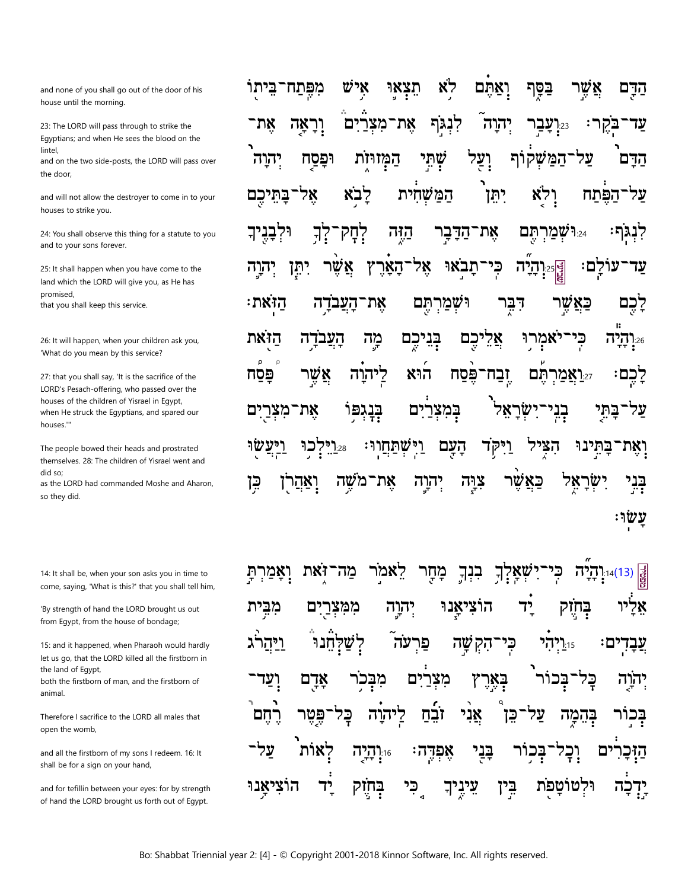and none of you shall go out of the door of his house until the morning.

23: The LORD will pass through to strike the Eqyptians; and when He sees the blood on the lintel,

and on the two side-posts, the LORD will pass over the door,

and will not allow the destroyer to come in to your houses to strike you.

24: You shall observe this thing for a statute to you and to your sons forever.

25: It shall happen when you have come to the land which the LORD will give you, as He has promised that you shall keep this service.

26: It will happen, when your children ask you, 'What do you mean by this service?

27: that you shall say, 'It is the sacrifice of the LORD's Pesach-offering, who passed over the houses of the children of Yisrael in Eqypt, when He struck the Egyptians, and spared our houses "

The people bowed their heads and prostrated themselves. 28: The children of Yisrael went and did so:

as the LORD had commanded Moshe and Aharon, so they did.

14: It shall be, when your son asks you in time to come, saying, 'What is this?' that you shall tell him,

'By strength of hand the LORD brought us out from Egypt, from the house of bondage;

15: and it happened, when Pharaoh would hardly let us go, that the LORD killed all the firstborn in the land of Eqypt, both the firstborn of man, and the firstborn of animal.

Therefore I sacrifice to the LORD all males that open the womb,

and all the firstborn of my sons I redeem. 16: It shall be for a sign on your hand,

and for tefillin between your eyes: for by strength of hand the LORD brought us forth out of Egypt.

איש לא תִצְאוּ בַּסֶּךְ אַשר מפתח־ביתו ואתם הַדָּם וְרָאֲה את את־מצו לִנְגּף יהוה ים עד  $7:23$ בּקֵר וְעַל שְׁתִּי<br>י יִהוָה ֿהמֹשׂקוֹת הדם וּפַּסַח המזוּזת עד יתן לבא המשחית בַּתֵּיכֵם 78 לא הפתח אַת־הַדָּבָר ו*ּישׁמַרְתֵּם* וּלִבְנִיך ֹלְחָק  $7$ הזה רנגף: כְּי es:**יְהְיָה**<br>alg עולם: יתן האר 78 תַבאוּ יהוה וּשׁמַרְתֵּם לכם הזאת: העבדה את־ דבר פאשו הזאת העבדה מה בִּנִיכִם כם אל יאמרוּ כי ר<u>הי</u>ה:  $\circ$  $\circ$ יִכְם שר ליהוה הוא פּסח ובח<sup>.</sup> פסח 'N תם <u>זאמר,</u> ים בנגפו במצרים מצר בתי את <u>וישׁתַחֲ</u>ווּ 25.['ל הָעָם בתינו כו יקד הצ ואת־ פאשר צוּה את ⊊ן ראהר ן שה מ הוה 787W בני ישו

בִנְךָ **ַיִשְׁאַ**דְךְ זאת מה לאמר מַחַר כִּי הְיָהְיָה;<br>שֵׁ Ū הוציאַנוּ יד בְּחִיָּק אליו מבית ם ממצר יהוה ויהו נה פר שה כי ים: הַק  $7:15$ יכם כל ועד אדם מבכו מצר באר בכ יהוה רחם ליהוה אַני ַכַּק ובח בֵּן בְּהֵמַה בַּנַי על לאות 16.**! הַיַה** אַפְרֶה D הזכו בחזק ֶכִי וּלטוֹ הוציאנו יד עֵינֵיך בֵּין פת